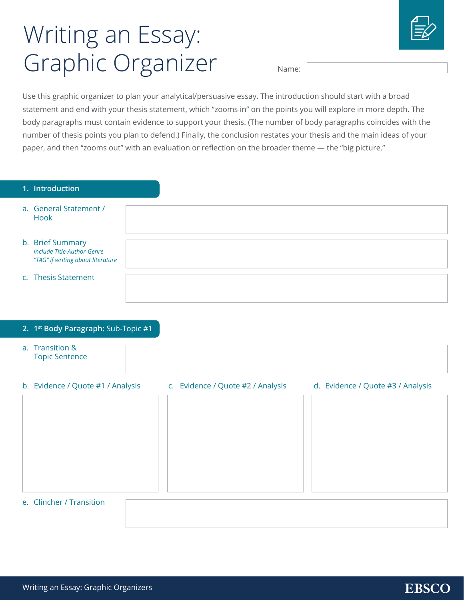## Writing an Essay: Graphic Organizer



Name:

Use this graphic organizer to plan your analytical/persuasive essay. The introduction should start with a broad statement and end with your thesis statement, which "zooms in" on the points you will explore in more depth. The body paragraphs must contain evidence to support your thesis. (The number of body paragraphs coincides with the number of thesis points you plan to defend.) Finally, the conclusion restates your thesis and the main ideas of your paper, and then "zooms out" with an evaluation or reflection on the broader theme — the "big picture."

| 1. Introduction                                                                     |                                                                        |
|-------------------------------------------------------------------------------------|------------------------------------------------------------------------|
| a. General Statement /<br>Hook                                                      |                                                                        |
| b. Brief Summary<br>include Title-Author-Genre<br>"TAG" if writing about literature |                                                                        |
| c. Thesis Statement                                                                 |                                                                        |
|                                                                                     |                                                                        |
| 2. 1st Body Paragraph: Sub-Topic #1                                                 |                                                                        |
| a. Transition &<br><b>Topic Sentence</b>                                            |                                                                        |
| b. Evidence / Quote #1 / Analysis                                                   | c. Evidence / Quote #2 / Analysis<br>d. Evidence / Quote #3 / Analysis |
|                                                                                     |                                                                        |
| e. Clincher / Transition                                                            |                                                                        |

## **EBSCO**